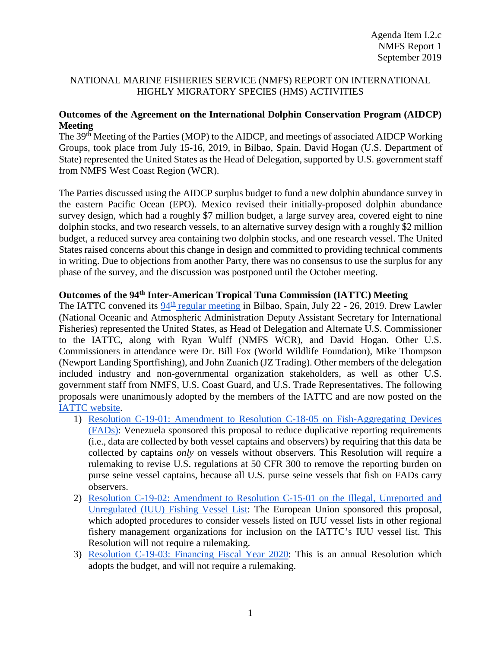## NATIONAL MARINE FISHERIES SERVICE (NMFS) REPORT ON INTERNATIONAL HIGHLY MIGRATORY SPECIES (HMS) ACTIVITIES

## **Outcomes of the Agreement on the International Dolphin Conservation Program (AIDCP) Meeting**

The 39th Meeting of the Parties (MOP) to the AIDCP, and meetings of associated AIDCP Working Groups, took place from July 15-16, 2019, in Bilbao, Spain. David Hogan (U.S. Department of State) represented the United States as the Head of Delegation, supported by U.S. government staff from NMFS West Coast Region (WCR).

The Parties discussed using the AIDCP surplus budget to fund a new dolphin abundance survey in the eastern Pacific Ocean (EPO). Mexico revised their initially-proposed dolphin abundance survey design, which had a roughly \$7 million budget, a large survey area, covered eight to nine dolphin stocks, and two research vessels, to an alternative survey design with a roughly \$2 million budget, a reduced survey area containing two dolphin stocks, and one research vessel. The United States raised concerns about this change in design and committed to providing technical comments in writing. Due to objections from another Party, there was no consensus to use the surplus for any phase of the survey, and the discussion was postponed until the October meeting.

## **Outcomes of the 94th Inter-American Tropical Tuna Commission (IATTC) Meeting**

The IATTC convened its  $94<sup>th</sup>$  [regular meeting](http://www.iattc.org/Meetings/Meetings2019/IATTC-94/IATTC-AIDCP-Annual-Meetings2019ENG.htm) in Bilbao, Spain, July 22 - 26, 2019. Drew Lawler (National Oceanic and Atmospheric Administration Deputy Assistant Secretary for International Fisheries) represented the United States, as Head of Delegation and Alternate U.S. Commissioner to the IATTC, along with Ryan Wulff (NMFS WCR), and David Hogan. Other U.S. Commissioners in attendance were Dr. Bill Fox (World Wildlife Foundation), Mike Thompson (Newport Landing Sportfishing), and John Zuanich (JZ Trading). Other members of the delegation included industry and non-governmental organization stakeholders, as well as other U.S. government staff from NMFS, U.S. Coast Guard, and U.S. Trade Representatives. The following proposals were unanimously adopted by the members of the IATTC and are now posted on the [IATTC website.](https://www.iattc.org/ResolutionsActiveENG.htm)

- 1) [Resolution C-19-01: Amendment to Resolution C-18-05 on Fish-Aggregating Devices](https://www.iattc.org/PDFFiles/Resolutions/IATTC/_English/C-19-01-Active_Amends%20and%20replaces%20C-18-05%20FADs.pdf)  [\(FADs\):](https://www.iattc.org/PDFFiles/Resolutions/IATTC/_English/C-19-01-Active_Amends%20and%20replaces%20C-18-05%20FADs.pdf) Venezuela sponsored this proposal to reduce duplicative reporting requirements (i.e., data are collected by both vessel captains and observers) by requiring that this data be collected by captains *only* on vessels without observers. This Resolution will require a rulemaking to revise U.S. regulations at 50 CFR 300 to remove the reporting burden on purse seine vessel captains, because all U.S. purse seine vessels that fish on FADs carry observers.
- 2) [Resolution C-19-02: Amendment to Resolution C-15-01 on the Illegal, Unreported and](https://www.iattc.org/PDFFiles/Resolutions/IATTC/_English/C-19-02-Active_Amends%20and%20replaces%20C-15-01%20IUU%20fishing.pdf)  [Unregulated \(IUU\) Fishing Vessel List:](https://www.iattc.org/PDFFiles/Resolutions/IATTC/_English/C-19-02-Active_Amends%20and%20replaces%20C-15-01%20IUU%20fishing.pdf) The European Union sponsored this proposal, which adopted procedures to consider vessels listed on IUU vessel lists in other regional fishery management organizations for inclusion on the IATTC's IUU vessel list. This Resolution will not require a rulemaking.
- 3) [Resolution C-19-03: Financing Fiscal Year 2020:](https://www.iattc.org/PDFFiles/Resolutions/IATTC/_English/C-19-03-Active_Financing%20FY%202020.pdf) This is an annual Resolution which adopts the budget, and will not require a rulemaking.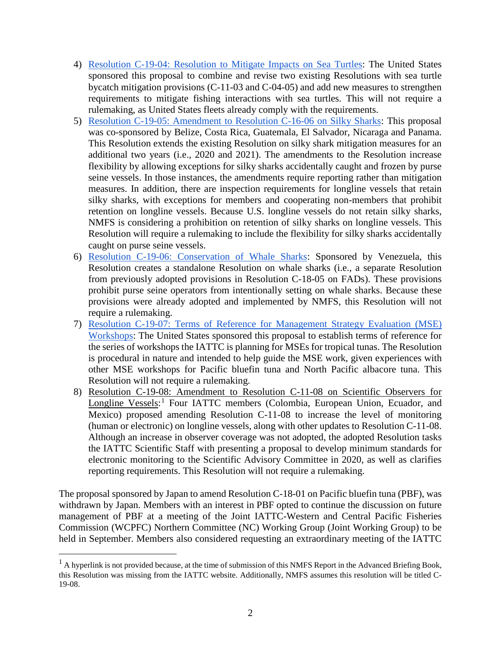- 4) [Resolution C-19-04: Resolution to Mitigate Impacts on Sea Turtles:](https://www.iattc.org/PDFFiles/Resolutions/IATTC/_English/C-19-04-Active_Sea%20turtles.pdf) The United States sponsored this proposal to combine and revise two existing Resolutions with sea turtle bycatch mitigation provisions (C-11-03 and C-04-05) and add new measures to strengthen requirements to mitigate fishing interactions with sea turtles. This will not require a rulemaking, as United States fleets already comply with the requirements.
- 5) [Resolution C-19-05: Amendment to Resolution C-16-06 on Silky Sharks:](https://www.iattc.org/PDFFiles/Resolutions/IATTC/_English/C-19-05-Active_Silky%20sharks.pdf) This proposal was co-sponsored by Belize, Costa Rica, Guatemala, El Salvador, Nicaraga and Panama. This Resolution extends the existing Resolution on silky shark mitigation measures for an additional two years (i.e., 2020 and 2021). The amendments to the Resolution increase flexibility by allowing exceptions for silky sharks accidentally caught and frozen by purse seine vessels. In those instances, the amendments require reporting rather than mitigation measures. In addition, there are inspection requirements for longline vessels that retain silky sharks, with exceptions for members and cooperating non-members that prohibit retention on longline vessels. Because U.S. longline vessels do not retain silky sharks, NMFS is considering a prohibition on retention of silky sharks on longline vessels. This Resolution will require a rulemaking to include the flexibility for silky sharks accidentally caught on purse seine vessels.
- 6) [Resolution C-19-06: Conservation of Whale Sharks:](https://www.iattc.org/PDFFiles/Resolutions/IATTC/_English/C-19-06-Active_Whale%20sharks.pdf) Sponsored by Venezuela, this Resolution creates a standalone Resolution on whale sharks (i.e., a separate Resolution from previously adopted provisions in Resolution C-18-05 on FADs). These provisions prohibit purse seine operators from intentionally setting on whale sharks. Because these provisions were already adopted and implemented by NMFS, this Resolution will not require a rulemaking.
- 7) [Resolution C-19-07: Terms of Reference for Management Strategy Evaluation \(MSE\)](https://www.iattc.org/PDFFiles/Resolutions/IATTC/_English/C-19-07-Active_Management%20Strategy%20Evaluation%20workshops.pdf)  [Workshops:](https://www.iattc.org/PDFFiles/Resolutions/IATTC/_English/C-19-07-Active_Management%20Strategy%20Evaluation%20workshops.pdf) The United States sponsored this proposal to establish terms of reference for the series of workshops the IATTC is planning for MSEs for tropical tunas. The Resolution is procedural in nature and intended to help guide the MSE work, given experiences with other MSE workshops for Pacific bluefin tuna and North Pacific albacore tuna. This Resolution will not require a rulemaking.
- 8) Resolution C-19-08: Amendment to Resolution C-11-08 on Scientific Observers for Longline Vessels:<sup>[1](#page-1-0)</sup> Four IATTC members (Colombia, European Union, Ecuador, and Mexico) proposed amending Resolution C-11-08 to increase the level of monitoring (human or electronic) on longline vessels, along with other updates to Resolution C-11-08. Although an increase in observer coverage was not adopted, the adopted Resolution tasks the IATTC Scientific Staff with presenting a proposal to develop minimum standards for electronic monitoring to the Scientific Advisory Committee in 2020, as well as clarifies reporting requirements. This Resolution will not require a rulemaking.

The proposal sponsored by Japan to amend Resolution C-18-01 on Pacific bluefin tuna (PBF), was withdrawn by Japan. Members with an interest in PBF opted to continue the discussion on future management of PBF at a meeting of the Joint IATTC-Western and Central Pacific Fisheries Commission (WCPFC) Northern Committee (NC) Working Group (Joint Working Group) to be held in September. Members also considered requesting an extraordinary meeting of the IATTC

<span id="page-1-0"></span> $<sup>1</sup>$  A hyperlink is not provided because, at the time of submission of this NMFS Report in the Advanced Briefing Book,</sup> this Resolution was missing from the IATTC website. Additionally, NMFS assumes this resolution will be titled C-19-08.